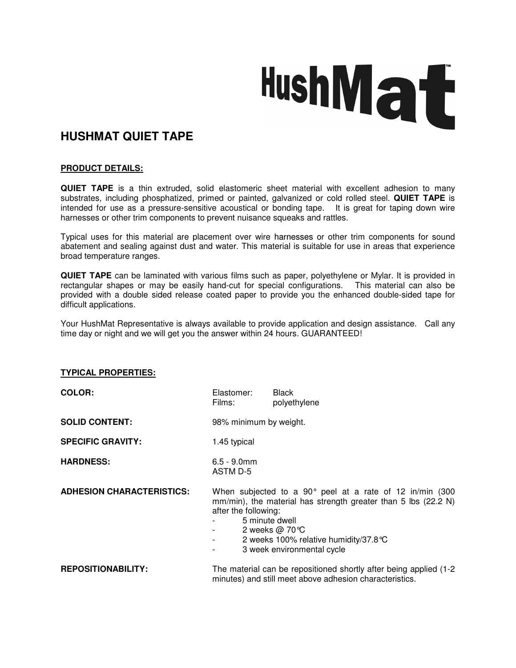# HushMat

# **HUSHMAT QUIET TAPE**

## **PRODUCT DETAILS:**

**QUIET TAPE** is a thin extruded, solid elastomeric sheet material with excellent adhesion to many substrates, including phosphatized, primed or painted, galvanized or cold rolled steel. **QUIET TAPE** is intended for use as a pressure-sensitive acoustical or bonding tape. It is great for taping down wire harnesses or other trim components to prevent nuisance squeaks and rattles.

Typical uses for this material are placement over wire harnesses or other trim components for sound abatement and sealing against dust and water. This material is suitable for use in areas that experience broad temperature ranges.

**QUIET TAPE** can be laminated with various films such as paper, polyethylene or Mylar. It is provided in rectangular shapes or may be easily hand-cut for special configurations. This material can also be provided with a double sided release coated paper to provide you the enhanced double-sided tape for difficult applications.

Your HushMat Representative is always available to provide application and design assistance. Call any time day or night and we will get you the answer within 24 hours. GUARANTEED!

### **TYPICAL PROPERTIES:**

| <b>COLOR:</b>                    | Elastomer:<br>Films:                                                                                                                                                                                                                                                              | <b>Black</b><br>polyethylene |
|----------------------------------|-----------------------------------------------------------------------------------------------------------------------------------------------------------------------------------------------------------------------------------------------------------------------------------|------------------------------|
| <b>SOLID CONTENT:</b>            | 98% minimum by weight.                                                                                                                                                                                                                                                            |                              |
| <b>SPECIFIC GRAVITY:</b>         | 1.45 typical                                                                                                                                                                                                                                                                      |                              |
| <b>HARDNESS:</b>                 | $6.5 - 9.0$ mm<br>ASTM D-5                                                                                                                                                                                                                                                        |                              |
| <b>ADHESION CHARACTERISTICS:</b> | When subjected to a 90 $^{\circ}$ peel at a rate of 12 in/min (300<br>mm/min), the material has strength greater than 5 lbs (22.2 N)<br>after the following:<br>5 minute dwell<br>2 weeks $@70^{\circ}$ C<br>2 weeks 100% relative humidity/37.8 °C<br>3 week environmental cycle |                              |
| <b>REPOSITIONABILITY:</b>        | The material can be repositioned shortly after being applied (1-2)<br>minutes) and still meet above adhesion characteristics.                                                                                                                                                     |                              |